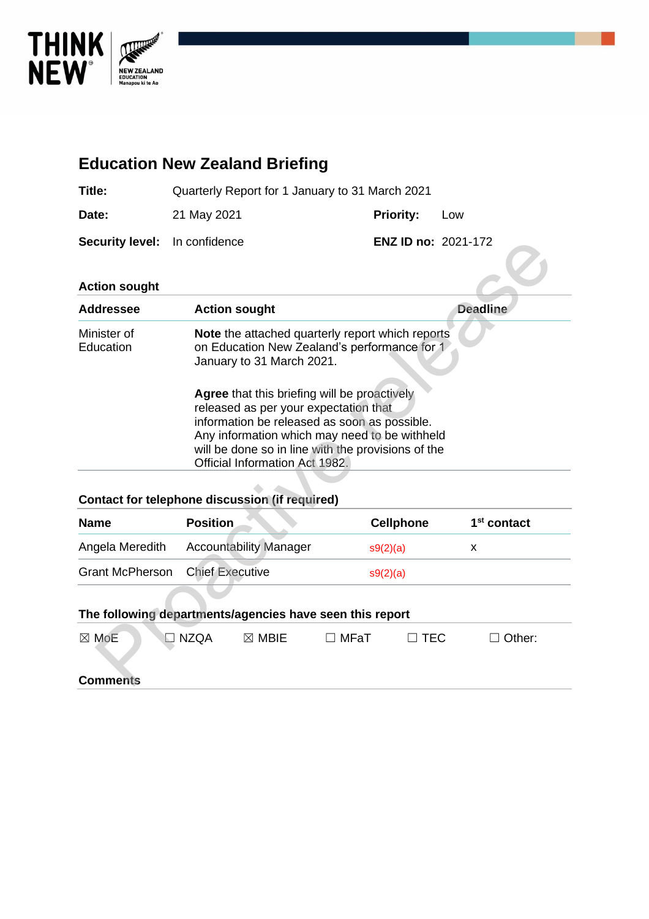

# **Education New Zealand Briefing Title:** Quarterly Report for 1 January to 31 March 2021 **Date:** 21 May 2021 **Priority:** Low **Security level:** In confidence **ENZ ID no:** 2021-172 **Action sought Addressee Action sought Deadline** Minister of **Education Note** the attached quarterly report which reports on Education New Zealand's performance for 1 January to 31 March 2021. **Agree** that this briefing will be proactively released as per your expectation that information be released as soon as possible. Any information which may need to be withheld will be done so in line with the provisions of the Official Information Act 1982. curity level: In contrastee<br>
dressee<br>
Action sought<br>
Most character and a beat attached quarterly report which reports<br>
lister of<br> **Prove the attached quarterly report which reports**<br>
on Education New Zealand's performanc

### **Contact for telephone discussion (if required)**

| <b>Name</b>                            | <b>Position</b>               | <b>Cellphone</b> | 1 <sup>st</sup> contact |
|----------------------------------------|-------------------------------|------------------|-------------------------|
| Angela Meredith                        | <b>Accountability Manager</b> | s9(2)(a)         |                         |
| <b>Grant McPherson</b> Chief Executive |                               | s9(2)(a)         |                         |

#### **The following departments/agencies have seen this report**

| $\boxtimes$ MoE | $\Box$ NZQA | $\boxtimes$ MBIE | $\Box$ MFaT | $\Box$ TEC | $\Box$ Other: |  |
|-----------------|-------------|------------------|-------------|------------|---------------|--|
| <b>Comments</b> |             |                  |             |            |               |  |
|                 |             |                  |             |            |               |  |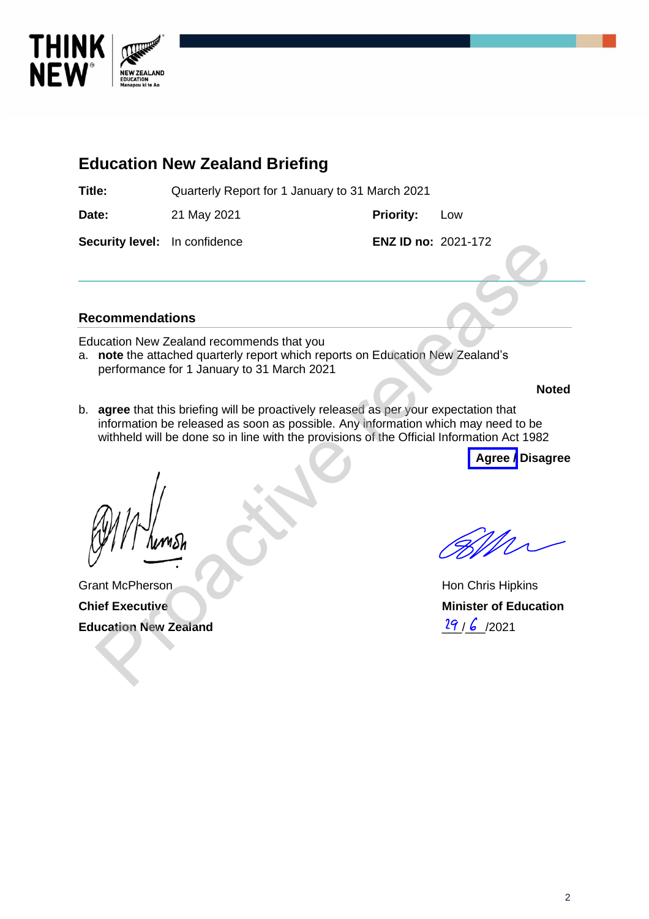

# **Education New Zealand Briefing**

**Title:** Quarterly Report for 1 January to 31 March 2021

**Date:** 21 May 2021 **Priority:** Low

**Security level:** In confidence **ENZ ID no:** 2021-172

### **Recommendations**

Education New Zealand recommends that you

a. **note** the attached quarterly report which reports on Education New Zealand's performance for 1 January to 31 March 2021

**Noted**

b. **agree** that this briefing will be proactively released as per your expectation that information be released as soon as possible. Any information which may need to be withheld will be done so in line with the provisions of the Official Information Act 1982 ENZ ID no: 2021-172<br>
Commendations<br>
commendations<br>
note the attached quarterly report which reports on Education New Zealand's<br>
performance for 1 January to 31 March 2021<br>
agree that this briefing will be proactively relea

**Agree / Disagree**

Grant McPherson **Chief Executive Education New Zealand**

Hon Chris Hipkins **Minister of Education**  $29/6$  /2021